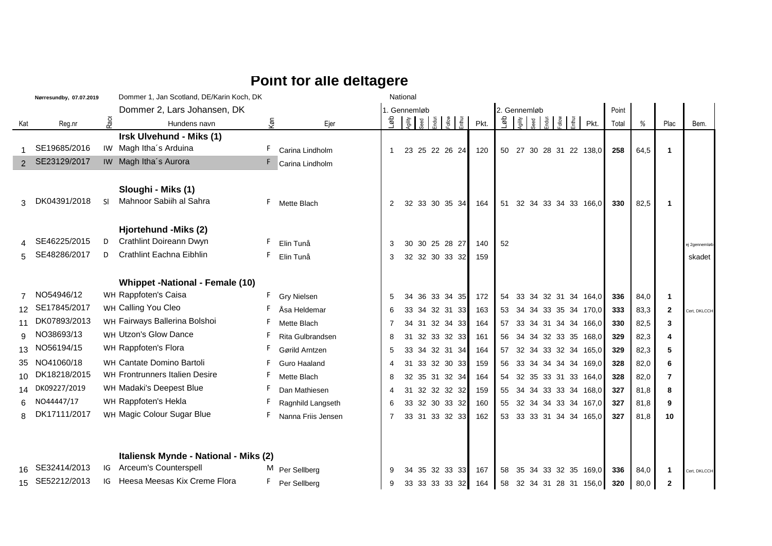## **Point for alle deltagere**

|                 | Nørresundby, 07.07.2019 |      | Dommer 1, Jan Scotland, DE/Karin Koch, DK |     |                    |    | National     |    |                                    |      |              |    |                                     |                         |       |      |                |               |
|-----------------|-------------------------|------|-------------------------------------------|-----|--------------------|----|--------------|----|------------------------------------|------|--------------|----|-------------------------------------|-------------------------|-------|------|----------------|---------------|
|                 |                         |      | Dommer 2, Lars Johansen, DK               |     |                    |    | 1. Gennemløb |    |                                    |      | 2. Gennemløb |    |                                     |                         | Point |      |                |               |
| Kat             | Reg.nr                  | Race | Hundens navn                              | (б) | Ejer               | နူ |              |    | Agility<br>Seed<br>Endus<br>Enthus | Pkt. | qøJ          |    | Agility<br>Seed<br>Endura<br>Enthus | Pkt.                    | Total | %    | Plac           | Bem.          |
|                 |                         |      | Irsk Ulvehund - Miks (1)                  |     |                    |    |              |    |                                    |      |              |    |                                     |                         |       |      |                |               |
|                 | SE19685/2016            |      | IW Magh Itha's Arduina                    | F.  | Carina Lindholm    |    |              |    | 23 25 22 26 24                     | 120  | 50           | 27 |                                     | 30 28 31 22 138,0       | 258   | 64,5 | $\mathbf 1$    |               |
|                 | SE23129/2017            |      | IW Magh Itha's Aurora                     |     | Carina Lindholm    |    |              |    |                                    |      |              |    |                                     |                         |       |      |                |               |
|                 |                         |      |                                           |     |                    |    |              |    |                                    |      |              |    |                                     |                         |       |      |                |               |
|                 |                         |      | Sloughi - Miks (1)                        |     |                    |    |              |    |                                    |      |              |    |                                     |                         |       |      |                |               |
| 3               | DK04391/2018            | SI.  | Mahnoor Sabiih al Sahra                   | F.  | Mette Blach        | 2  |              |    | 32 33 30 35 34                     | 164  | 51           |    |                                     | 32 34 33 34 33 166,0    | 330   | 82,5 | $\mathbf 1$    |               |
|                 |                         |      |                                           |     |                    |    |              |    |                                    |      |              |    |                                     |                         |       |      |                |               |
|                 |                         |      | Hjortehund -Miks (2)                      |     |                    |    |              |    |                                    |      |              |    |                                     |                         |       |      |                |               |
|                 | SE46225/2015            |      | Crathlint Doireann Dwyn                   | F.  | Elin Tunå          | 3  | 30           |    | 30 25 28 27                        | 140  | 52           |    |                                     |                         |       |      |                | ej 2gennemløb |
|                 | SE48286/2017            | D    | Crathlint Eachna Eibhlin                  | F.  | Elin Tunå          | 3  |              |    | 32 32 30 33 32                     | 159  |              |    |                                     |                         |       |      |                | skadet        |
|                 |                         |      |                                           |     |                    |    |              |    |                                    |      |              |    |                                     |                         |       |      |                |               |
|                 |                         |      | <b>Whippet -National - Female (10)</b>    |     |                    |    |              |    |                                    |      |              |    |                                     |                         |       |      |                |               |
|                 | NO54946/12              |      | WH Rappfoten's Caisa                      | F.  | <b>Gry Nielsen</b> | 5  | 34           | 36 | 33 34 35                           | 172  | 54           | 33 |                                     | 34 32 31 34 164,0       | 336   | 84,0 | $\mathbf 1$    |               |
| 12 <sup>°</sup> | SE17845/2017            |      | WH Calling You Cleo                       |     | Åsa Heldemar       | 6  | 33           |    | 34 32 31 33                        | 163  | 53           |    |                                     | 34 34 33 35 34 170,0    | 333   | 83,3 | $\mathbf{2}$   | Cert, DKLCCH  |
|                 | DK07893/2013            |      | WH Fairways Ballerina Bolshoi             | F   | Mette Blach        | 7  | 34           |    | 31 32 34 33                        | 164  | 57           |    |                                     | 33 34 31 34 34 166,0    | 330   | 82,5 | 3              |               |
| 9               | NO38693/13              |      | WH Utzon's Glow Dance                     | F   | Rita Gulbrandsen   | 8  | 31           |    | 32 33 32 33                        | 161  | 56           |    |                                     | 34 34 32 33 35 168,0    | 329   | 82,3 | 4              |               |
| 13              | NO56194/15              |      | WH Rappfoten's Flora                      | F   | Gørild Arntzen     | 5  | 33           |    | 34 32 31 34                        | 164  | 57           |    |                                     | 32 34 33 32 34 165,0    | 329   | 82,3 | 5              |               |
| 35              | NO41060/18              |      | WH Cantate Domino Bartoli                 | F.  | Guro Haaland       | 4  | 31           |    | 33 32 30 33                        | 159  | 56           |    |                                     | 33 34 34 34 34 169,0    | 328   | 82,0 | 6              |               |
| 10              | DK18218/2015            |      | WH Frontrunners Italien Desire            | F.  | Mette Blach        | 8  | 32           |    | 35 31 32 34                        | 164  | 54           |    |                                     | 32 35 33 31 33 164.0    | 328   | 82,0 | 7              |               |
|                 | 14 DK09227/2019         |      | WH Madaki's Deepest Blue                  | F   | Dan Mathiesen      | 4  | 31           |    | 32 32 32 32                        | 159  | 55           |    |                                     | 34 34 33 33 34 168,0    | 327   | 81,8 | 8              |               |
|                 | NO44447/17              |      | WH Rappfoten's Hekla                      |     | Ragnhild Langseth  | 6  | 33           |    | 32 30 33 32                        | 160  | 55           |    |                                     | 32 34 34 33 34 167,0    | 327   | 81.8 | 9              |               |
| 8               | DK17111/2017            |      | WH Magic Colour Sugar Blue                | F.  | Nanna Friis Jensen | 7  |              |    | 33 31 33 32 33                     | 162  |              |    |                                     | 53 33 33 31 34 34 165,0 | 327   | 81,8 | 10             |               |
|                 |                         |      |                                           |     |                    |    |              |    |                                    |      |              |    |                                     |                         |       |      |                |               |
|                 |                         |      |                                           |     |                    |    |              |    |                                    |      |              |    |                                     |                         |       |      |                |               |
|                 |                         |      | Italiensk Mynde - National - Miks (2)     |     |                    |    |              |    |                                    |      |              |    |                                     |                         |       |      |                |               |
|                 | SE32414/2013            | IG   | Arceum's Counterspell                     |     | M Per Sellberg     | 9  | 34           |    | 35 32 33 33                        | 167  | 58           | 35 |                                     | 34 33 32 35 169,0       | 336   | 84,0 | -1             | Cert, DKLCCH  |
|                 | 15 SE52212/2013         | IG   | Heesa Meesas Kix Creme Flora              | F.  | Per Sellberg       | 9  |              |    | 33 33 33 33 32                     | 164  | 58           |    |                                     | 32 34 31 28 31 156,0    | 320   | 80,0 | $\overline{2}$ |               |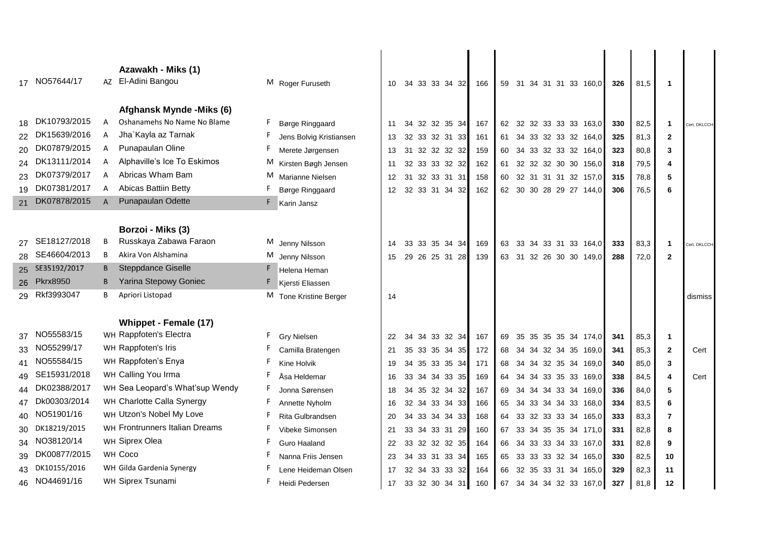|          | 17 NO57644/17   |   | Azawakh - Miks (1)<br>AZ El-Adini Bangou<br>Afghansk Mynde - Miks (6) | M Roger Furuseth                           | 10              |          | 34 33 33 34 32             | 166        | 59       | 31 |  | 34 31 31 33 160,0                            | 326        | 81,5         | $\mathbf{1}$   |              |
|----------|-----------------|---|-----------------------------------------------------------------------|--------------------------------------------|-----------------|----------|----------------------------|------------|----------|----|--|----------------------------------------------|------------|--------------|----------------|--------------|
| 18       | DK10793/2015    | A | Oshanamehs No Name No Blame                                           | Børge Ringgaard                            | 11              |          | 34 32 32 35 34             | 167        |          |    |  | 62 32 32 33 33 33 163,0                      | 330        | 82,5         | 1              | Cert, DKLCCH |
|          | DK15639/2016    |   | Jha`Kayla az Tarnak                                                   | Jens Bolvig Kristiansen                    | 13              |          | 32 33 32 31 33             | 161        | 61       |    |  | 34 33 32 33 32 164,0                         | 325        | 81,3         | $\mathbf{2}$   |              |
| 20       | DK07879/2015    | A | Punapaulan Oline                                                      | F.<br>Merete Jørgensen                     | 13              | 31       | 32 32 32 32                | 159        | 60       |    |  | 34 33 32 33 32 164,0                         | 323        | 80,8         | 3              |              |
| 24       | DK13111/2014    | A | Alphaville's Ice To Eskimos                                           | M<br>Kirsten Bøgh Jensen                   | 11              | 32       | 33 33 32 32                | 162        | 61       |    |  | 32 32 32 30 30 156,0                         | 318        | 79,5         | 4              |              |
| 23       | DK07379/2017    | A | Abricas Wham Bam                                                      | М<br>Marianne Nielsen                      | 12              | 31       | 32 33 31 31                | 158        | 60       |    |  | 32 31 31 31 32 157,0                         | 315        | 78,8         | 5              |              |
| 19       | DK07381/2017    | A | Abicas Battiin Betty                                                  | Børge Ringgaard                            | 12 <sup>2</sup> |          | 32 33 31 34 32             | 162        |          |    |  | 62 30 30 28 29 27 144,0                      | 306        | 76,5         | 6              |              |
| 21       | DK07878/2015    |   | Punapaulan Odette                                                     | <b>EE</b> Karin Jansz                      |                 |          |                            |            |          |    |  |                                              |            |              |                |              |
|          |                 |   | Borzoi - Miks (3)                                                     |                                            |                 |          |                            |            |          |    |  |                                              |            |              |                |              |
|          | SE18127/2018    | B | Russkaya Zabawa Faraon                                                | M Jenny Nilsson                            | 14              | 33       | 33 35 34 34                | 169        | 63       |    |  | 33 34 33 31 33 164,0                         | 333        | 83,3         | $\mathbf{1}$   | Cert, DKLCCH |
| 28       | SE46604/2013    |   | Akira Von Alshamina                                                   | M Jenny Nilsson                            | 15              | 29       | 26 25 31 28                | 139        | 63       |    |  | 31 32 26 30 30 149,0                         | 288        | 72,0         | $\mathbf{2}$   |              |
|          | 25 SE35192/2017 |   | <b>B</b> Steppdance Giselle                                           | Helena Heman                               |                 |          |                            |            |          |    |  |                                              |            |              |                |              |
|          |                 |   |                                                                       |                                            |                 |          |                            |            |          |    |  |                                              |            |              |                |              |
|          | 26 Pkrx8950     |   | <b>B</b> Yarina Stepowy Goniec                                        |                                            |                 |          |                            |            |          |    |  |                                              |            |              |                |              |
| 29       | Rkf3993047      | В | Apriori Listopad                                                      | Kjersti Eliassen<br>M Tone Kristine Berger | 14              |          |                            |            |          |    |  |                                              |            |              |                | dismiss      |
|          |                 |   |                                                                       |                                            |                 |          |                            |            |          |    |  |                                              |            |              |                |              |
|          |                 |   | Whippet - Female (17)                                                 |                                            |                 |          |                            |            |          |    |  |                                              |            |              |                |              |
| 37       | NO55583/15      |   | WH Rappfoten's Electra                                                | F.<br><b>Gry Nielsen</b>                   | 22              | 34       | 34 33 32 34                | 167        | 69       |    |  | 35 35 35 35 34 174,0                         | 341        | 85,3         | $\mathbf{1}$   |              |
|          | NO55299/17      |   | WH Rappfoten's Iris                                                   | Camilla Bratengen                          | 21              | 35       | 33 35 34 35                | 172        | 68       |    |  | 34 34 32 34 35 169,0                         | 341        | 85,3         | $\overline{2}$ | Cert         |
| 41       | NO55584/15      |   | WH Rappfoten's Enya                                                   | F.<br>Kine Holvik                          | 19              | 34       | 35 33 35 34                | 171        | 68       |    |  | 34 34 32 35 34 169,0                         | 340        | 85,0         | 3              |              |
| 49       | SE15931/2018    |   | WH Calling You Irma                                                   | F.<br>Åsa Heldemar                         | 16              | 33       | 34 34 33 35                | 169        | 64       | 34 |  |                                              | 338        | 84,5         | 4              | Cert         |
| 44       | DK02388/2017    |   | WH Sea Leopard's What'sup Wendy                                       | Jonna Sørensen                             | 18              | 34       | 35 32 34 32                | 167        | 69       | 34 |  | 34 33 35 33 169,0<br>34 34 33 34 169,0       | 336        | 84,0         | 5              |              |
| 47       | Dk00303/2014    |   | WH Charlotte Calla Synergy                                            | F.                                         | 16              | 32       | 34 33 34 33                | 166        | 65       |    |  | 34 33 34 34 33 168,0                         | 334        |              | 6              |              |
| 40       | NO51901/16      |   | WH Utzon's Nobel My Love                                              | Annette Nyholm<br>F<br>Rita Gulbrandsen    |                 | 34       |                            |            | 64       |    |  |                                              |            | 83,5         | $\overline{7}$ |              |
|          | DK18219/2015    |   | WH Frontrunners Italian Dreams                                        | F                                          | 20              |          | 33 34 34 33                | 168        |          |    |  | 33 32 33 33 34 165,0                         | 333        | 83,3         |                |              |
| 30<br>34 | NO38120/14      |   | WH Siprex Olea                                                        | Vibeke Simonsen<br>Guro Haaland            | 21              | 33       | 34 33 31 29                | 160        | 67<br>66 |    |  | 33 34 35 35 34 171,0                         | 331        | 82,8         | 8              |              |
|          | DK00877/2015    |   | WH Coco                                                               | Nanna Friis Jensen                         | 22              | 33<br>34 | 32 32 32 35                | 164        | 65       |    |  | 34 33 33 34 33 167,0                         | 331        | 82,8         | 9              |              |
|          | DK10155/2016    |   | WH Gilda Gardenia Synergy                                             | Lene Heideman Olsen                        | 23<br>17        | 32       | 33 31 33 34<br>34 33 33 32 | 165<br>164 | 66       |    |  | 33 33 33 32 34 165,0<br>32 35 33 31 34 165,0 | 330<br>329 | 82,5<br>82,3 | 10<br>11       |              |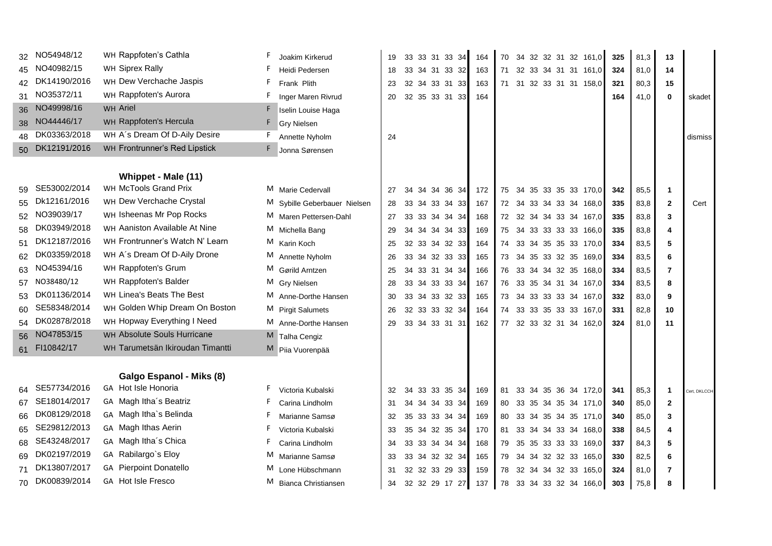|        | NO54948/12      | WH Rappfoten's Cathla            | F.<br>Joakim Kirkerud           | 19 | 33 33 31 33 34       | 164 | 70       | 34 32 32 31 32 161,0    | 325 | 81,3 | 13           |              |
|--------|-----------------|----------------------------------|---------------------------------|----|----------------------|-----|----------|-------------------------|-----|------|--------------|--------------|
| 45     | NO40982/15      | WH Siprex Rally                  | Heidi Pedersen                  | 18 | 33 34 31 33 32       | 163 | 71       | 32 33 34 31 31 161,0    | 324 | 81,0 | 14           |              |
| 42     | DK14190/2016    | WH Dew Verchache Jaspis          | F<br>Frank Plith                | 23 | 32 34 33 31 33       | 163 | 71       | 31 32 33 31 31 158,0    | 321 | 80,3 | 15           |              |
| 31     | NO35372/11      | WH Rappfoten's Aurora            | Inger Maren Rivrud              | 20 | 32 35 33 31 33       | 164 |          |                         | 164 | 41,0 | $\bf{0}$     | skadet       |
|        | 36 NO49998/16   | WH Ariel                         | Iselin Louise Haga              |    |                      |     |          |                         |     |      |              |              |
| $38 -$ | NO44446/17      | WH Rappfoten's Hercula           | <b>Gry Nielsen</b>              |    |                      |     |          |                         |     |      |              |              |
| 48     | DK03363/2018    | WH A's Dream Of D-Aily Desire    | F.<br>Annette Nyholm            | 24 |                      |     |          |                         |     |      |              | dismiss      |
|        | 50 DK12191/2016 | WH Frontrunner's Red Lipstick    | Jonna Sørensen                  |    |                      |     |          |                         |     |      |              |              |
|        |                 |                                  |                                 |    |                      |     |          |                         |     |      |              |              |
|        |                 | Whippet - Male (11)              |                                 |    |                      |     |          |                         |     |      |              |              |
| 59     | SE53002/2014    | WH McTools Grand Prix            | M Marie Cedervall               | 27 | 34 34 36 34<br>34    | 172 | 75       | 34 35 33 35 33 170,0    | 342 | 85,5 | $\mathbf 1$  |              |
| 55     | Dk12161/2016    | WH Dew Verchache Crystal         | M Sybille Geberbauer Nielsen    | 28 | 33<br>34 33 34 33    | 167 |          | 72 34 33 34 33 34 168,0 | 335 | 83,8 | $\mathbf{2}$ | Cert         |
| 52     | NO39039/17      | WH Isheenas Mr Pop Rocks         | M Maren Pettersen-Dahl          | 27 | 33 33 34 34 34       | 168 |          | 72 32 34 34 33 34 167,0 | 335 | 83,8 | 3            |              |
| 58     | DK03949/2018    | WH Aaniston Available At Nine    | M Michella Bang                 | 29 | 34  34  34  33<br>34 | 169 | 75       | 34 33 33 33 33 166,0    | 335 | 83,8 | 4            |              |
| 51     | DK12187/2016    | WH Frontrunner's Watch N' Learn  | M Karin Koch                    | 25 | 32 33 34 32 33       | 164 | 74       | 33 34 35 35 33 170,0    | 334 | 83,5 | 5            |              |
| 62     | DK03359/2018    | WH A's Dream Of D-Aily Drone     | M Annette Nyholm                | 26 | 33 34 32 33 33       | 165 | 73       | 34 35 33 32 35 169,0    | 334 | 83,5 | 6            |              |
|        | NO45394/16      | WH Rappfoten's Grum              | M Gørild Arntzen                | 25 | 33 31 34 34<br>34    | 166 | 76       | 33 34 34 32 35 168,0    | 334 | 83,5 | 7            |              |
| 57     | NO38480/12      | WH Rappfoten's Balder            | M Gry Nielsen                   | 28 | 33 34 33 33 34       | 167 | 76       | 33 35 34 31 34 167,0    | 334 | 83,5 | 8            |              |
| 53     | DK01136/2014    | WH Linea's Beats The Best        | M Anne-Dorthe Hansen            | 30 | 33 34 33 32 33       | 165 | 73       | 34 33 33 33 34 167,0    | 332 | 83,0 | 9            |              |
| 60     | SE58348/2014    | WH Golden Whip Dream On Boston   | M Pirgit Salumets               | 26 | 32 33 33 32 34       | 164 | 74       | 33 33 35 33 33 167,0    | 331 | 82,8 | 10           |              |
| 54     | DK02878/2018    | WH Hopway Everything I Need      | M Anne-Dorthe Hansen            | 29 | 33 34 33 31 31       | 162 |          | 77 32 33 32 31 34 162,0 | 324 | 81,0 | 11           |              |
|        | 56 NO47853/15   | WH Absolute Souls Hurricane      | Talha Cengiz                    |    |                      |     |          |                         |     |      |              |              |
|        | 61 FI10842/17   | WH Tarumetsän Ikiroudan Timantti | Piia Vuorenpää                  |    |                      |     |          |                         |     |      |              |              |
|        |                 |                                  |                                 |    |                      |     |          |                         |     |      |              |              |
|        |                 | Galgo Espanol - Miks (8)         |                                 |    |                      |     |          |                         |     |      |              |              |
| 64     | SE57734/2016    | GA Hot Isle Honoria              | F.<br>Victoria Kubalski         | 32 | 33 33 35 34<br>34    | 169 | 33<br>81 | 34 35 36 34 172,0       | 341 | 85,3 | $\mathbf 1$  | Cert, DKLCCH |
| 67     | SE18014/2017    | GA Magh Itha's Beatriz           | F<br>Carina Lindholm            | 31 | 34<br>34 34 33 34    | 169 | 80       | 33 35 34 35 34 171,0    | 340 | 85,0 | $\mathbf{2}$ |              |
| 66     | DK08129/2018    | GA Magh Itha's Belinda           | Marianne Samsø                  | 32 | 35 33 33 34 34       | 169 | 80       | 33 34 35 34 35 171,0    | 340 | 85,0 | 3            |              |
| 65     | SE29812/2013    | GA Magh Ithas Aerin              | Victoria Kubalski               | 33 | 35 34 32 35 34       | 170 | 81       | 33 34 34 33 34 168,0    | 338 | 84,5 | 4            |              |
| 68     | SE43248/2017    | GA Magh Itha's Chica             | F.<br>Carina Lindholm           | 34 | 33 33 34 34 34       | 168 | 35<br>79 | 35 33 33 33 169,0       | 337 | 84,3 | 5            |              |
| 69     | DK02197/2019    | GA Rabilargo's Eloy              | M Marianne Samsø                | 33 | 33 34 32 32 34       | 165 | 79       | 34 34 32 32 33 165,0    | 330 | 82,5 | 6            |              |
| 71     | DK13807/2017    | <b>GA</b> Pierpoint Donatello    | Lone Hübschmann                 | 31 | 32 32 33 29 33       | 159 | 78       | 32 34 34 32 33 165,0    | 324 | 81,0 | 7            |              |
| 70     | DK00839/2014    | GA Hot Isle Fresco               | M<br><b>Bianca Christiansen</b> | 34 | 32 32 29 17 27       | 137 | 78       | 33 34 33 32 34 166,0    | 303 | 75,8 | 8            |              |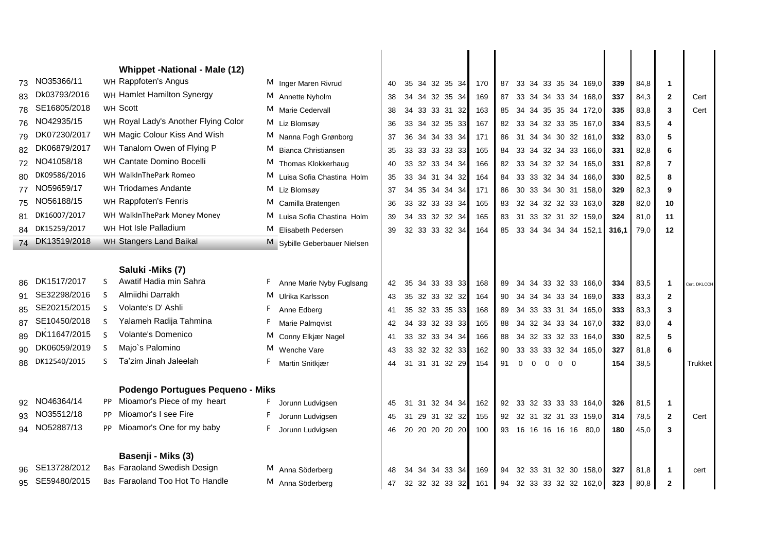|    |                 |              | <b>Whippet -National - Male (12)</b> |                                |    |    |                |     |    |          |                          |             |                         |       |      |                |              |
|----|-----------------|--------------|--------------------------------------|--------------------------------|----|----|----------------|-----|----|----------|--------------------------|-------------|-------------------------|-------|------|----------------|--------------|
| 73 | NO35366/11      |              | WH Rappfoten's Angus                 | M Inger Maren Rivrud           | 40 |    | 35 34 32 35 34 | 170 | 87 |          |                          |             | 33 34 33 35 34 169,0    | 339   | 84,8 | 1              |              |
| 83 | Dk03793/2016    |              | WH Hamlet Hamilton Synergy           | M Annette Nyholm               | 38 | 34 | 34 32 35 34    | 169 | 87 |          |                          |             | 33 34 34 33 34 168,0    | 337   | 84,3 | $\mathbf{2}$   | Cert         |
| 78 | SE16805/2018    |              | WH Scott                             | M Marie Cedervall              | 38 |    | 34 33 33 31 32 | 163 |    |          |                          |             | 85 34 34 35 35 34 172,0 | 335   | 83,8 | 3              | Cert         |
| 76 | NO42935/15      |              | WH Royal Lady's Another Flying Color | M Liz Blomsøy                  | 36 | 33 | 34 32 35 33    | 167 |    |          |                          |             | 82 33 34 32 33 35 167,0 | 334   | 83,5 | 4              |              |
| 79 | DK07230/2017    |              | WH Magic Colour Kiss And Wish        | M Nanna Fogh Grønborg          | 37 | 36 | 34 34 33 34    | 171 | 86 |          |                          |             | 31 34 34 30 32 161,0    | 332   | 83,0 | 5              |              |
| 82 | DK06879/2017    |              | WH Tanalorn Owen of Flying P         | M Bianca Christiansen          | 35 |    | 33 33 33 33 33 | 165 |    |          |                          |             | 84 33 34 32 34 33 166,0 | 331   | 82,8 | 6              |              |
| 72 | NO41058/18      |              | WH Cantate Domino Bocelli            | M Thomas Klokkerhaug           | 40 | 33 | 32 33 34 34    | 166 |    |          |                          |             | 82 33 34 32 32 34 165,0 | 331   | 82,8 | $\overline{7}$ |              |
| 80 | DK09586/2016    |              | WH WalkInThePark Romeo               | M Luisa Sofia Chastina Holm    | 35 | 33 | 34 31 34 32    | 164 | 84 |          |                          |             | 33 33 32 34 34 166,0    | 330   | 82,5 | 8              |              |
|    | 77 NO59659/17   |              | WH Triodames Andante                 | M Liz Blomsøy                  | 37 | 34 | 35 34 34 34    | 171 | 86 |          |                          |             | 30 33 34 30 31 158,0    | 329   | 82,3 | 9              |              |
| 75 | NO56188/15      |              | WH Rappfoten's Fenris                | M Camilla Bratengen            | 36 | 33 | 32 33 33 34    | 165 |    |          |                          |             | 83 32 34 32 32 33 163,0 | 328   | 82,0 | 10             |              |
| 81 | DK16007/2017    |              | WH WalkInThePark Money Money         | M Luisa Sofia Chastina Holm    | 39 |    | 34 33 32 32 34 | 165 |    |          |                          |             | 83 31 33 32 31 32 159,0 | 324   | 81,0 | 11             |              |
|    | 84 DK15259/2017 |              | WH Hot Isle Palladium                | M Elisabeth Pedersen           | 39 |    | 32 33 33 32 34 | 164 | 85 |          |                          |             | 33 34 34 34 34 152,1    | 316,1 | 79,0 | 12             |              |
|    | 74 DK13519/2018 |              | WH Stangers Land Baikal              | Sybille Geberbauer Nielsen     |    |    |                |     |    |          |                          |             |                         |       |      |                |              |
|    |                 |              |                                      |                                |    |    |                |     |    |          |                          |             |                         |       |      |                |              |
|    |                 |              | Saluki - Miks (7)                    |                                |    |    |                |     |    |          |                          |             |                         |       |      |                |              |
| 86 | DK1517/2017     |              | Awatif Hadia min Sahra               | F.<br>Anne Marie Nyby Fuglsang | 42 | 35 | 34 33 33 33    | 168 | 89 |          |                          |             | 34 34 33 32 33 166,0    | 334   | 83,5 | $\mathbf{1}$   | Cert, DKLCCH |
| 91 | SE32298/2016    | -S           | Almiidhi Darrakh                     | M Ulrika Karlsson              | 43 | 35 | 32 33 32 32    | 164 | 90 |          |                          |             | 34 34 34 33 34 169,0    | 333   | 83,3 | $\overline{2}$ |              |
|    | SE20215/2015    | <sub>S</sub> | Volante's D' Ashli                   | Anne Edberg                    | 41 | 35 | 32 33 35 33    | 168 | 89 |          |                          |             | 34 33 33 31 34 165,0    | 333   | 83,3 | 3              |              |
| 87 | SE10450/2018    | <sub>S</sub> | Yalameh Radija Tahmina               | F.<br>Marie Palmqvist          | 42 | 34 | 33 32 33 33    | 165 | 88 |          |                          |             | 34 32 34 33 34 167,0    | 332   | 83,0 | 4              |              |
| 89 | DK11647/2015    | S            | Volante's Domenico                   | M Conny Elkjær Nagel           | 41 | 33 | 32 33 34 34    | 166 | 88 |          |                          |             | 34 32 33 32 33 164,0    | 330   | 82,5 | 5              |              |
| 90 | DK06059/2019    | <sub>S</sub> | Majo's Palomino                      | M Wenche Vare                  | 43 | 33 | 32 32 32 33    | 162 | 90 |          |                          |             | 33 33 33 32 34 165,0    | 327   | 81,8 | 6              |              |
| 88 | DK12540/2015    | ς            | Ta'zim Jinah Jaleelah                | F.<br>Martin Snitkjær          | 44 |    | 31 31 31 32 29 | 154 | 91 | $\Omega$ | $\Omega$<br>$\mathbf{0}$ | $0 \quad 0$ |                         | 154   | 38,5 |                | Trukket      |
|    |                 |              |                                      |                                |    |    |                |     |    |          |                          |             |                         |       |      |                |              |
|    |                 |              | Podengo Portugues Pequeno - Miks     |                                |    |    |                |     |    |          |                          |             |                         |       |      |                |              |
|    | 92 NO46364/14   |              | PP Mioamor's Piece of my heart       | Jorunn Ludvigsen               | 45 | 31 | 31 32 34 34    | 162 | 92 |          |                          |             | 33 32 33 33 33 164,0    | 326   | 81,5 | 1              |              |
|    | NO35512/18      | PP.          | Mioamor's I see Fire                 | Jorunn Ludvigsen               | 45 |    | 31 29 31 32 32 | 155 |    |          |                          |             | 92 32 31 32 31 33 159,0 | 314   | 78,5 | $\mathbf{2}$   | Cert         |
|    | 94 NO52887/13   |              | PP Mioamor's One for my baby         | F.<br>Jorunn Ludvigsen         | 46 |    | 20 20 20 20 20 | 100 |    |          |                          |             | 93 16 16 16 16 16 80,0  | 180   | 45,0 | 3              |              |
|    |                 |              |                                      |                                |    |    |                |     |    |          |                          |             |                         |       |      |                |              |
|    |                 |              | Basenji - Miks (3)                   |                                |    |    |                |     |    |          |                          |             |                         |       |      |                |              |
|    | SE13728/2012    |              | <b>Bas Faraoland Swedish Design</b>  | M Anna Söderberg               | 48 | 34 | 34 34 33 34    | 169 | 94 |          |                          |             | 32 33 31 32 30 158.0    | 327   | 81,8 | $\mathbf{1}$   | cert         |
| 95 | SE59480/2015    |              | Bas Faraoland Too Hot To Handle      | M Anna Söderberg               | 47 |    | 32 32 32 33 32 | 161 | 94 |          |                          |             | 32 33 33 32 32 162,0    | 323   | 80,8 | $\mathbf{2}$   |              |